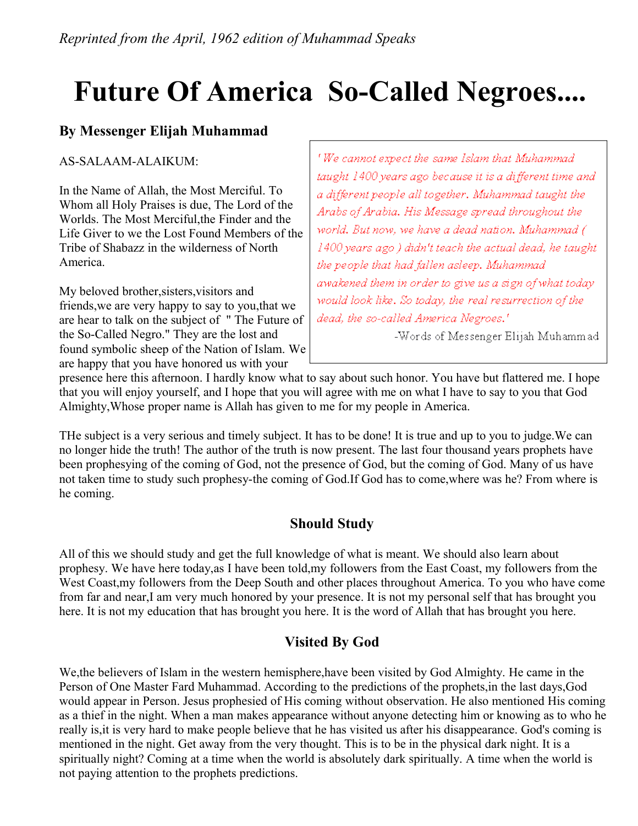# **Future Of America So-Called Negroes....**

# **By Messenger Elijah Muhammad**

AS-SALAAM-ALAIKUM:

In the Name of Allah, the Most Merciful. To Whom all Holy Praises is due, The Lord of the Worlds. The Most Merciful,the Finder and the Life Giver to we the Lost Found Members of the Tribe of Shabazz in the wilderness of North America.

My beloved brother,sisters,visitors and friends,we are very happy to say to you,that we are hear to talk on the subject of " The Future of the So-Called Negro." They are the lost and found symbolic sheep of the Nation of Islam. We are happy that you have honored us with your

'We cannot expect the same Islam that Muhammad taught 1400 years ago because it is a different time and a different people all together. Muhammad taught the Arabs of Arabia. His Message spread throughout the world. But now, we have a dead nation. Muhammad ( 1400 years ago) didn't teach the actual dead, he taught the people that had fallen asleep. Muhammad awakened them in order to give us a sign of what today would look like. So today, the real resurrection of the dead, the so-called America Negroes.<sup>1</sup>

-Words of Messenger Elijah Muhammad

presence here this afternoon. I hardly know what to say about such honor. You have but flattered me. I hope that you will enjoy yourself, and I hope that you will agree with me on what I have to say to you that God Almighty,Whose proper name is Allah has given to me for my people in America.

THe subject is a very serious and timely subject. It has to be done! It is true and up to you to judge.We can no longer hide the truth! The author of the truth is now present. The last four thousand years prophets have been prophesying of the coming of God, not the presence of God, but the coming of God. Many of us have not taken time to study such prophesy-the coming of God.If God has to come,where was he? From where is he coming.

# **Should Study**

All of this we should study and get the full knowledge of what is meant. We should also learn about prophesy. We have here today,as I have been told,my followers from the East Coast, my followers from the West Coast,my followers from the Deep South and other places throughout America. To you who have come from far and near,I am very much honored by your presence. It is not my personal self that has brought you here. It is not my education that has brought you here. It is the word of Allah that has brought you here.

# **Visited By God**

We,the believers of Islam in the western hemisphere,have been visited by God Almighty. He came in the Person of One Master Fard Muhammad. According to the predictions of the prophets,in the last days,God would appear in Person. Jesus prophesied of His coming without observation. He also mentioned His coming as a thief in the night. When a man makes appearance without anyone detecting him or knowing as to who he really is,it is very hard to make people believe that he has visited us after his disappearance. God's coming is mentioned in the night. Get away from the very thought. This is to be in the physical dark night. It is a spiritually night? Coming at a time when the world is absolutely dark spiritually. A time when the world is not paying attention to the prophets predictions.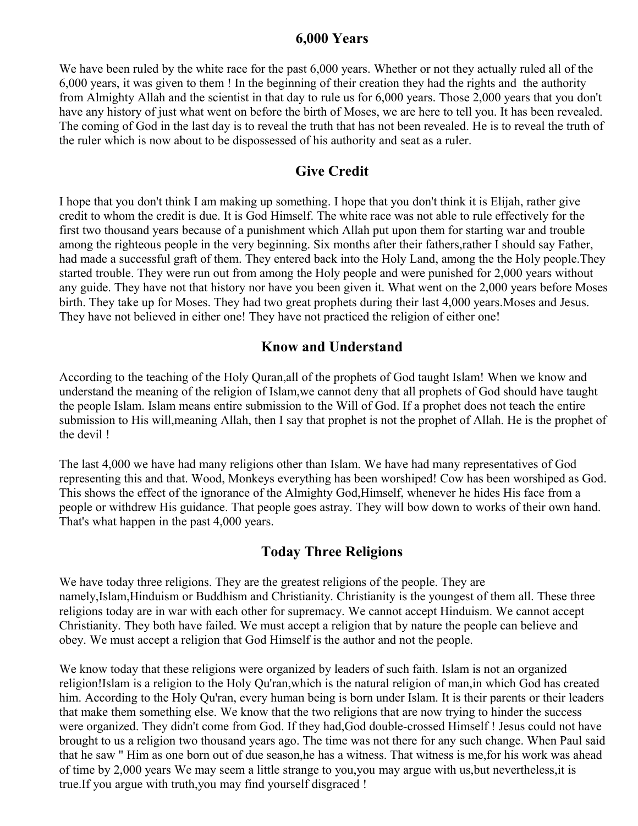#### **6,000 Years**

We have been ruled by the white race for the past 6,000 years. Whether or not they actually ruled all of the 6,000 years, it was given to them ! In the beginning of their creation they had the rights and the authority from Almighty Allah and the scientist in that day to rule us for 6,000 years. Those 2,000 years that you don't have any history of just what went on before the birth of Moses, we are here to tell you. It has been revealed. The coming of God in the last day is to reveal the truth that has not been revealed. He is to reveal the truth of the ruler which is now about to be dispossessed of his authority and seat as a ruler.

## **Give Credit**

I hope that you don't think I am making up something. I hope that you don't think it is Elijah, rather give credit to whom the credit is due. It is God Himself. The white race was not able to rule effectively for the first two thousand years because of a punishment which Allah put upon them for starting war and trouble among the righteous people in the very beginning. Six months after their fathers,rather I should say Father, had made a successful graft of them. They entered back into the Holy Land, among the the Holy people.They started trouble. They were run out from among the Holy people and were punished for 2,000 years without any guide. They have not that history nor have you been given it. What went on the 2,000 years before Moses birth. They take up for Moses. They had two great prophets during their last 4,000 years.Moses and Jesus. They have not believed in either one! They have not practiced the religion of either one!

## **Know and Understand**

According to the teaching of the Holy Quran,all of the prophets of God taught Islam! When we know and understand the meaning of the religion of Islam,we cannot deny that all prophets of God should have taught the people Islam. Islam means entire submission to the Will of God. If a prophet does not teach the entire submission to His will,meaning Allah, then I say that prophet is not the prophet of Allah. He is the prophet of the devil !

The last 4,000 we have had many religions other than Islam. We have had many representatives of God representing this and that. Wood, Monkeys everything has been worshiped! Cow has been worshiped as God. This shows the effect of the ignorance of the Almighty God,Himself, whenever he hides His face from a people or withdrew His guidance. That people goes astray. They will bow down to works of their own hand. That's what happen in the past 4,000 years.

## **Today Three Religions**

We have today three religions. They are the greatest religions of the people. They are namely,Islam,Hinduism or Buddhism and Christianity. Christianity is the youngest of them all. These three religions today are in war with each other for supremacy. We cannot accept Hinduism. We cannot accept Christianity. They both have failed. We must accept a religion that by nature the people can believe and obey. We must accept a religion that God Himself is the author and not the people.

We know today that these religions were organized by leaders of such faith. Islam is not an organized religion!Islam is a religion to the Holy Qu'ran,which is the natural religion of man,in which God has created him. According to the Holy Qu'ran, every human being is born under Islam. It is their parents or their leaders that make them something else. We know that the two religions that are now trying to hinder the success were organized. They didn't come from God. If they had,God double-crossed Himself ! Jesus could not have brought to us a religion two thousand years ago. The time was not there for any such change. When Paul said that he saw " Him as one born out of due season,he has a witness. That witness is me,for his work was ahead of time by 2,000 years We may seem a little strange to you,you may argue with us,but nevertheless,it is true.If you argue with truth,you may find yourself disgraced !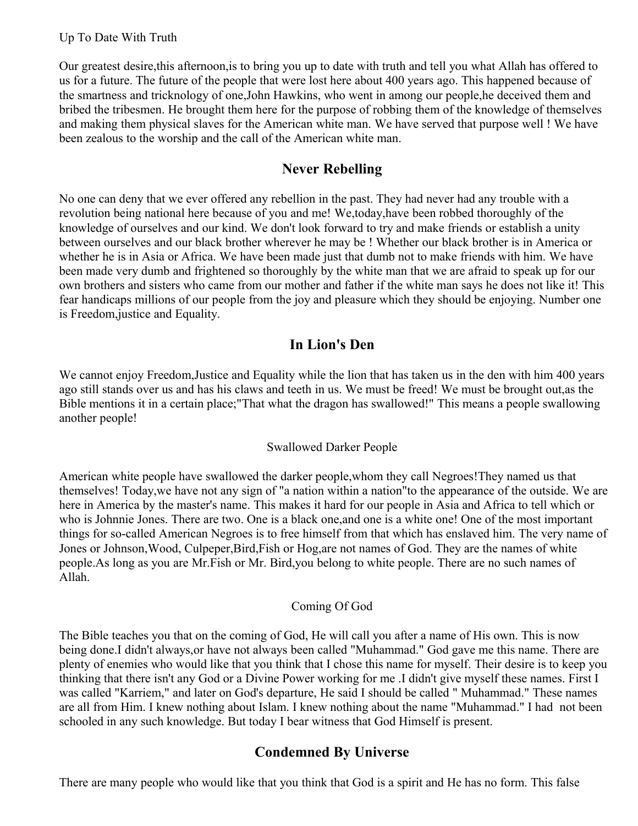Our greatest desire,this afternoon,is to bring you up to date with truth and tell you what Allah has offered to us for a future. The future of the people that were lost here about 400 years ago. This happened because of the smartness and tricknology of one,John Hawkins, who went in among our people,he deceived them and bribed the tribesmen. He brought them here for the purpose of robbing them of the knowledge of themselves and making them physical slaves for the American white man. We have served that purpose well ! We have been zealous to the worship and the call of the American white man.

## **Never Rebelling**

No one can deny that we ever offered any rebellion in the past. They had never had any trouble with a revolution being national here because of you and me! We,today,have been robbed thoroughly of the knowledge of ourselves and our kind. We don't look forward to try and make friends or establish a unity between ourselves and our black brother wherever he may be ! Whether our black brother is in America or whether he is in Asia or Africa. We have been made just that dumb not to make friends with him. We have been made very dumb and frightened so thoroughly by the white man that we are afraid to speak up for our own brothers and sisters who came from our mother and father if the white man says he does not like it! This fear handicaps millions of our people from the joy and pleasure which they should be enjoying. Number one is Freedom,justice and Equality.

# **In Lion's Den**

We cannot enjoy Freedom, Justice and Equality while the lion that has taken us in the den with him 400 years ago still stands over us and has his claws and teeth in us. We must be freed! We must be brought out,as the Bible mentions it in a certain place;"That what the dragon has swallowed!" This means a people swallowing another people!

#### Swallowed Darker People

American white people have swallowed the darker people,whom they call Negroes!They named us that themselves! Today,we have not any sign of "a nation within a nation"to the appearance of the outside. We are here in America by the master's name. This makes it hard for our people in Asia and Africa to tell which or who is Johnnie Jones. There are two. One is a black one,and one is a white one! One of the most important things for so-called American Negroes is to free himself from that which has enslaved him. The very name of Jones or Johnson,Wood, Culpeper,Bird,Fish or Hog,are not names of God. They are the names of white people.As long as you are Mr.Fish or Mr. Bird,you belong to white people. There are no such names of Allah.

#### Coming Of God

The Bible teaches you that on the coming of God, He will call you after a name of His own. This is now being done.I didn't always,or have not always been called "Muhammad." God gave me this name. There are plenty of enemies who would like that you think that I chose this name for myself. Their desire is to keep you thinking that there isn't any God or a Divine Power working for me .I didn't give myself these names. First I was called "Karriem," and later on God's departure, He said I should be called " Muhammad." These names are all from Him. I knew nothing about Islam. I knew nothing about the name "Muhammad." I had not been schooled in any such knowledge. But today I bear witness that God Himself is present.

# **Condemned By Universe**

There are many people who would like that you think that God is a spirit and He has no form. This false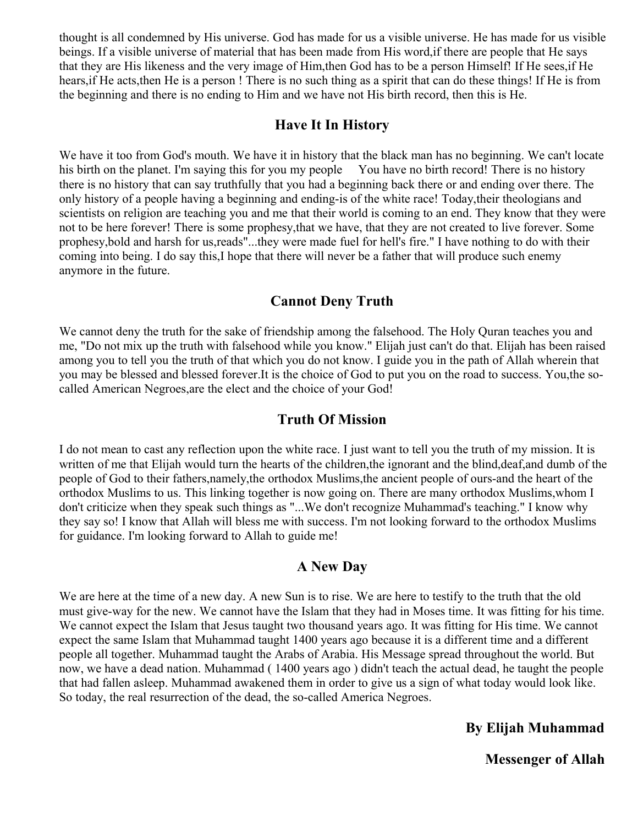thought is all condemned by His universe. God has made for us a visible universe. He has made for us visible beings. If a visible universe of material that has been made from His word,if there are people that He says that they are His likeness and the very image of Him,then God has to be a person Himself! If He sees,if He hears,if He acts,then He is a person ! There is no such thing as a spirit that can do these things! If He is from the beginning and there is no ending to Him and we have not His birth record, then this is He.

## **Have It In History**

We have it too from God's mouth. We have it in history that the black man has no beginning. We can't locate his birth on the planet. I'm saying this for you my people You have no birth record! There is no history there is no history that can say truthfully that you had a beginning back there or and ending over there. The only history of a people having a beginning and ending-is of the white race! Today,their theologians and scientists on religion are teaching you and me that their world is coming to an end. They know that they were not to be here forever! There is some prophesy,that we have, that they are not created to live forever. Some prophesy,bold and harsh for us,reads"...they were made fuel for hell's fire." I have nothing to do with their coming into being. I do say this,I hope that there will never be a father that will produce such enemy anymore in the future.

## **Cannot Deny Truth**

We cannot deny the truth for the sake of friendship among the falsehood. The Holy Quran teaches you and me, "Do not mix up the truth with falsehood while you know." Elijah just can't do that. Elijah has been raised among you to tell you the truth of that which you do not know. I guide you in the path of Allah wherein that you may be blessed and blessed forever.It is the choice of God to put you on the road to success. You,the socalled American Negroes,are the elect and the choice of your God!

#### **Truth Of Mission**

I do not mean to cast any reflection upon the white race. I just want to tell you the truth of my mission. It is written of me that Elijah would turn the hearts of the children,the ignorant and the blind,deaf,and dumb of the people of God to their fathers,namely,the orthodox Muslims,the ancient people of ours-and the heart of the orthodox Muslims to us. This linking together is now going on. There are many orthodox Muslims,whom I don't criticize when they speak such things as "...We don't recognize Muhammad's teaching." I know why they say so! I know that Allah will bless me with success. I'm not looking forward to the orthodox Muslims for guidance. I'm looking forward to Allah to guide me!

#### **A New Day**

We are here at the time of a new day. A new Sun is to rise. We are here to testify to the truth that the old must give-way for the new. We cannot have the Islam that they had in Moses time. It was fitting for his time. We cannot expect the Islam that Jesus taught two thousand years ago. It was fitting for His time. We cannot expect the same Islam that Muhammad taught 1400 years ago because it is a different time and a different people all together. Muhammad taught the Arabs of Arabia. His Message spread throughout the world. But now, we have a dead nation. Muhammad ( 1400 years ago ) didn't teach the actual dead, he taught the people that had fallen asleep. Muhammad awakened them in order to give us a sign of what today would look like. So today, the real resurrection of the dead, the so-called America Negroes.

#### **By Elijah Muhammad**

**Messenger of Allah**